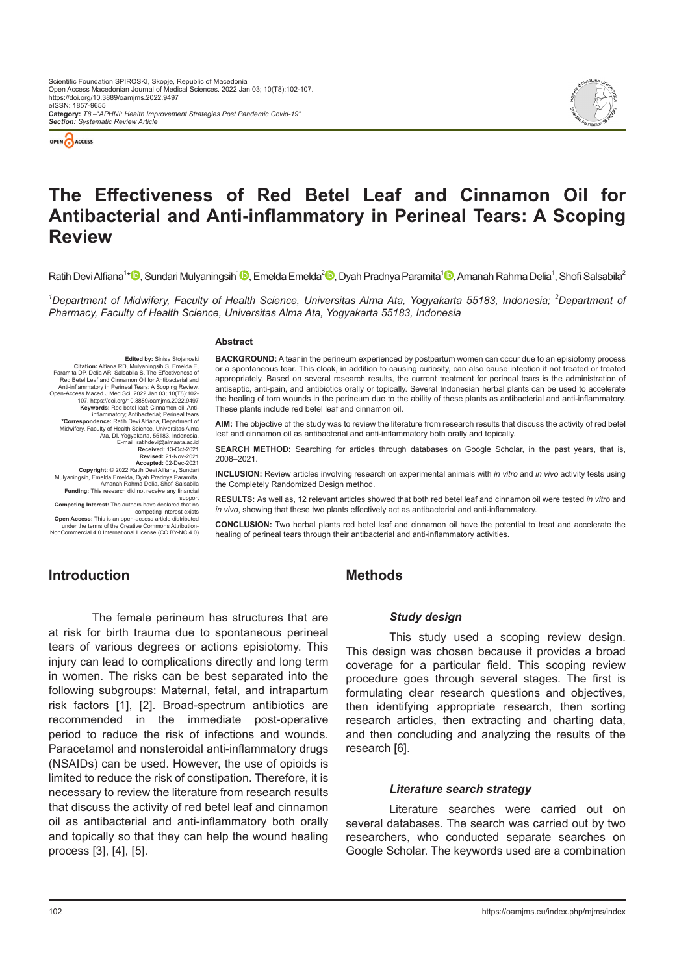



# **The Effectiveness of Red Betel Leaf and Cinnamon Oil for Antibacterial and Anti-inflammatory in Perineal Tears: A Scoping Review**

Ratih Devi Alfiana<sup>1</sup>\*<sup>10</sup>[,](https://orcid.org/0000-0002-8191-1476
) Sundari Mulyaningsih<sup>110</sup>[,](https://orcid.org/0000-0002-8503-3244) Emelda Emelda<sup>210</sup>, Dyah Pradnya Paramita<sup>110</sup>, Amanah Rahma Delia<sup>1</sup>, Shofi Salsabila<sup>2</sup>

<sup>1</sup>Department of Midwifery, Faculty of Health Science, Universitas Alma Ata, Yogyakarta 55183, Indonesia; <sup>2</sup>Department of *Pharmacy, Faculty of Health Science, Universitas Alma Ata, Yogyakarta 55183, Indonesia*

#### **Abstract**

**Edited by:** Sinisa Stojanoski<br>**Citation:** Alfiana RD, Mulyaningsih S, Emelda E,<br>Paramita DP, Delia AR, Salsabila S. The Effectiveness of<br>Red Betel Leaf and Cinnamon Oil for Antibacterial and Anti-inflammatory in Perineal Tears: A Scoping Review. Open-Access Maced J Med Sci. 2022 Jan 03; 10(T8):102- 107. https://doi.org/10.3889/oamjms.2022.9497<br>Keywords: Red betel leaf; Cinnamon oil; Anti-<br>inflammatory; Antibacterial; Perineal tears<br><sup>\*</sup>Correspondence: Ratih Devi Alfiana, Department of<br>Midwifery, Faculty of Health Scie E-mail: ratihdevi@almaata.ac.id **Received: 13-Oct-2021<br><b>Revised: 21-Nov-2021 Revised:** 21-Nov-2021<br>**Recepted:** 02-Dec-2021<br>**Copyright:** © 2022 Ratih Devi Alfiana, Sundari<br>Mulyaningsih, Emelda Emelda, Dyah Pradnya Paramita,<br>Amanah Rahma Delia, Shofi Salsabila **Funding:** This research did not receive any financial support **Competing Interest:** The authors have declared that no

competing interest exists<br>**Open Access:** This is an open-access article distribution-<br>under the terms of the Creative Commons Attribution-<br>NonCommercial 4.0 International License (CC BY-NC 4.0)

**BACKGROUND:** A tear in the perineum experienced by postpartum women can occur due to an episiotomy process or a spontaneous tear. This cloak, in addition to causing curiosity, can also cause infection if not treated or treated appropriately. Based on several research results, the current treatment for perineal tears is the administration of antiseptic, anti-pain, and antibiotics orally or topically. Several Indonesian herbal plants can be used to accelerate the healing of torn wounds in the perineum due to the ability of these plants as antibacterial and anti-inflammatory. These plants include red betel leaf and cinnamon oil.

**AIM:** The objective of the study was to review the literature from research results that discuss the activity of red betel leaf and cinnamon oil as antibacterial and anti-inflammatory both orally and topically.

**SEARCH METHOD:** Searching for articles through databases on Google Scholar, in the past years, that is, 2008–2021.

**INCLUSION:** Review articles involving research on experimental animals with *in vitro* and *in vivo* activity tests using the Completely Randomized Design method.

**RESULTS:** As well as, 12 relevant articles showed that both red betel leaf and cinnamon oil were tested *in vitro* and *in vivo*, showing that these two plants effectively act as antibacterial and anti-inflammatory.

**CONCLUSION:** Two herbal plants red betel leaf and cinnamon oil have the potential to treat and accelerate the healing of perineal tears through their antibacterial and anti-inflammatory activities.

## **Introduction**

The female perineum has structures that are at risk for birth trauma due to spontaneous perineal tears of various degrees or actions episiotomy. This injury can lead to complications directly and long term in women. The risks can be best separated into the following subgroups: Maternal, fetal, and intrapartum risk factors [1], [2]. Broad-spectrum antibiotics are recommended in the immediate post-operative period to reduce the risk of infections and wounds. Paracetamol and nonsteroidal anti-inflammatory drugs (NSAIDs) can be used. However, the use of opioids is limited to reduce the risk of constipation. Therefore, it is necessary to review the literature from research results that discuss the activity of red betel leaf and cinnamon oil as antibacterial and anti-inflammatory both orally and topically so that they can help the wound healing process [3], [4], [5].

## **Methods**

#### *Study design*

This study used a scoping review design. This design was chosen because it provides a broad coverage for a particular field. This scoping review procedure goes through several stages. The first is formulating clear research questions and objectives, then identifying appropriate research, then sorting research articles, then extracting and charting data, and then concluding and analyzing the results of the research [6].

#### *Literature search strategy*

Literature searches were carried out on several databases. The search was carried out by two researchers, who conducted separate searches on Google Scholar. The keywords used are a combination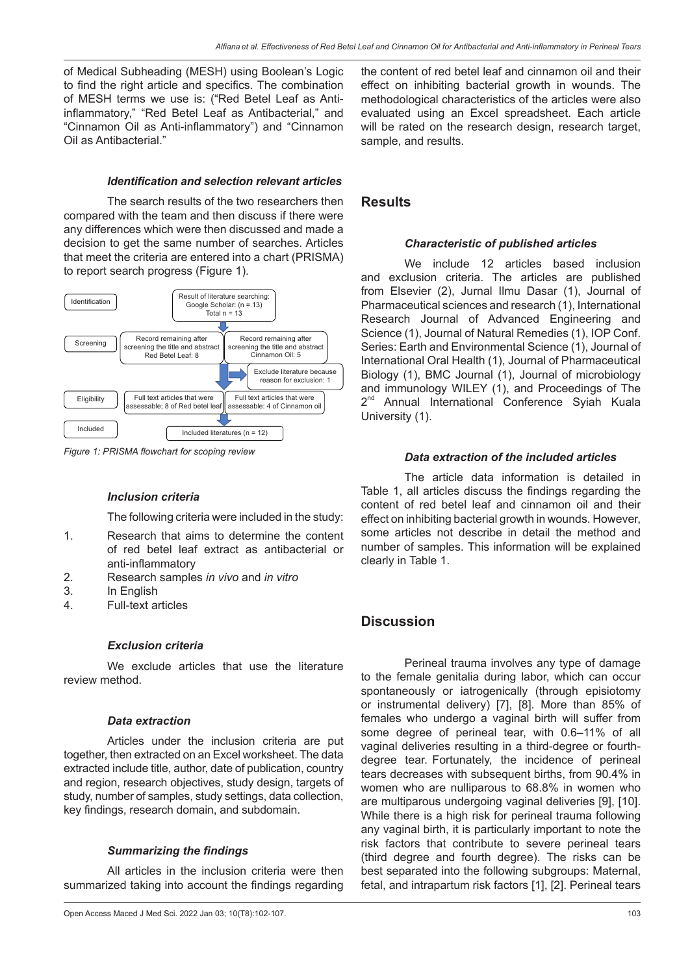of Medical Subheading (MESH) using Boolean's Logic to find the right article and specifics. The combination of MESH terms we use is: ("Red Betel Leaf as Antiinflammatory," "Red Betel Leaf as Antibacterial," and "Cinnamon Oil as Anti-inflammatory") and "Cinnamon Oil as Antibacterial."

### *Identification and selection relevant articles*

The search results of the two researchers then compared with the team and then discuss if there were any differences which were then discussed and made a decision to get the same number of searches. Articles that meet the criteria are entered into a chart (PRISMA) to report search progress (Figure 1).



*Figure 1: PRISMA flowchart for scoping review*

#### *Inclusion criteria*

The following criteria were included in the study:

- 1. Research that aims to determine the content of red betel leaf extract as antibacterial or anti-inflammatory
- 2. Research samples *in vivo* and *in vitro*
- 3. In English
- 4. Full-text articles

#### *Exclusion criteria*

We exclude articles that use the literature review method.

#### *Data extraction*

Articles under the inclusion criteria are put together, then extracted on an Excel worksheet. The data extracted include title, author, date of publication, country and region, research objectives, study design, targets of study, number of samples, study settings, data collection, key findings, research domain, and subdomain.

#### *Summarizing the findings*

All articles in the inclusion criteria were then summarized taking into account the findings regarding the content of red betel leaf and cinnamon oil and their effect on inhibiting bacterial growth in wounds. The methodological characteristics of the articles were also evaluated using an Excel spreadsheet. Each article will be rated on the research design, research target, sample, and results.

## **Results**

#### *Characteristic of published articles*

We include 12 articles based inclusion and exclusion criteria. The articles are published from Elsevier (2), Jurnal Ilmu Dasar (1), Journal of Pharmaceutical sciences and research (1), International Research Journal of Advanced Engineering and Science (1), Journal of Natural Remedies (1), IOP Conf. Series: Earth and Environmental Science (1), Journal of International Oral Health (1), Journal of Pharmaceutical Biology (1), BMC Journal (1), Journal of microbiology and immunology WILEY (1), and Proceedings of The 2<sup>nd</sup> Annual International Conference Syiah Kuala University (1).

#### *Data extraction of the included articles*

The article data information is detailed in Table 1, all articles discuss the findings regarding the content of red betel leaf and cinnamon oil and their effect on inhibiting bacterial growth in wounds. However, some articles not describe in detail the method and number of samples. This information will be explained clearly in Table 1.

## **Discussion**

Perineal trauma involves any type of damage to the female genitalia during labor, which can occur spontaneously or iatrogenically (through episiotomy or instrumental delivery) [7], [8]. More than 85% of females who undergo a vaginal birth will suffer from some degree of perineal tear, with 0.6–11% of all vaginal deliveries resulting in a third-degree or fourthdegree tear. Fortunately, the incidence of perineal tears decreases with subsequent births, from 90.4% in women who are nulliparous to 68.8% in women who are multiparous undergoing vaginal deliveries [9], [10]. While there is a high risk for perineal trauma following any vaginal birth, it is particularly important to note the risk factors that contribute to severe perineal tears (third degree and fourth degree). The risks can be best separated into the following subgroups: Maternal, fetal, and intrapartum risk factors [1], [2]. Perineal tears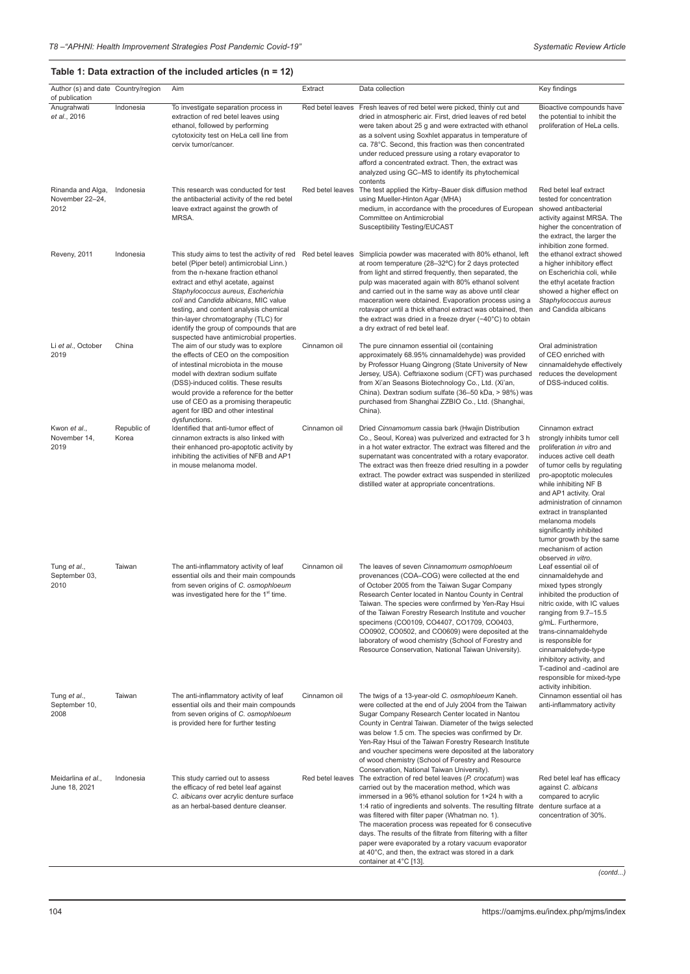#### **Table 1: Data extraction of the included articles (n = 12)**

| Author (s) and date Country/region<br>of publication |                      | Aim                                                                                                                                                                                                                                                                                                                                                                         | Extract          | Data collection                                                                                                                                                                                                                                                                                                                                                                                                                                                                                                                                                                  | Key findings                                                                                                                                                                                                                                                                                                                                                                                              |
|------------------------------------------------------|----------------------|-----------------------------------------------------------------------------------------------------------------------------------------------------------------------------------------------------------------------------------------------------------------------------------------------------------------------------------------------------------------------------|------------------|----------------------------------------------------------------------------------------------------------------------------------------------------------------------------------------------------------------------------------------------------------------------------------------------------------------------------------------------------------------------------------------------------------------------------------------------------------------------------------------------------------------------------------------------------------------------------------|-----------------------------------------------------------------------------------------------------------------------------------------------------------------------------------------------------------------------------------------------------------------------------------------------------------------------------------------------------------------------------------------------------------|
| Anugrahwati<br>et al., 2016                          | Indonesia            | To investigate separation process in<br>extraction of red betel leaves using<br>ethanol, followed by performing<br>cytotoxicity test on HeLa cell line from<br>cervix tumor/cancer.                                                                                                                                                                                         | Red betel leaves | Fresh leaves of red betel were picked, thinly cut and<br>dried in atmospheric air. First, dried leaves of red betel<br>were taken about 25 g and were extracted with ethanol<br>as a solvent using Soxhlet apparatus in temperature of<br>ca. 78°C. Second, this fraction was then concentrated<br>under reduced pressure using a rotary evaporator to<br>afford a concentrated extract. Then, the extract was<br>analyzed using GC-MS to identify its phytochemical<br>contents                                                                                                 | Bioactive compounds have<br>the potential to inhibit the<br>proliferation of HeLa cells.                                                                                                                                                                                                                                                                                                                  |
| Rinanda and Alga,<br>November 22-24,<br>2012         | Indonesia            | This research was conducted for test<br>the antibacterial activity of the red betel<br>leave extract against the growth of<br>MRSA.                                                                                                                                                                                                                                         | Red betel leaves | The test applied the Kirby-Bauer disk diffusion method<br>using Mueller-Hinton Agar (MHA)<br>medium, in accordance with the procedures of European<br>Committee on Antimicrobial<br>Susceptibility Testing/EUCAST                                                                                                                                                                                                                                                                                                                                                                | Red betel leaf extract<br>tested for concentration<br>showed antibacterial<br>activity against MRSA. The<br>higher the concentration of<br>the extract, the larger the<br>inhibition zone formed.                                                                                                                                                                                                         |
| Reveny, 2011                                         | Indonesia            | betel (Piper betel) antimicrobial Linn.)<br>from the n-hexane fraction ethanol<br>extract and ethyl acetate, against<br>Staphylococcus aureus, Escherichia<br>coli and Candida albicans, MIC value<br>testing, and content analysis chemical<br>thin-layer chromatography (TLC) for<br>identify the group of compounds that are<br>suspected have antimicrobial properties. |                  | This study aims to test the activity of red Red betel leaves Simplicia powder was macerated with 80% ethanol, left<br>at room temperature (28-32°C) for 2 days protected<br>from light and stirred frequently, then separated, the<br>pulp was macerated again with 80% ethanol solvent<br>and carried out in the same way as above until clear<br>maceration were obtained. Evaporation process using a<br>rotavapor until a thick ethanol extract was obtained, then<br>the extract was dried in a freeze dryer $(-40^{\circ}C)$ to obtain<br>a dry extract of red betel leaf. | the ethanol extract showed<br>a higher inhibitory effect<br>on Escherichia coli, while<br>the ethyl acetate fraction<br>showed a higher effect on<br>Staphylococcus aureus<br>and Candida albicans                                                                                                                                                                                                        |
| Li et al., October<br>2019                           | China                | The aim of our study was to explore<br>the effects of CEO on the composition<br>of intestinal microbiota in the mouse<br>model with dextran sodium sulfate<br>(DSS)-induced colitis. These results<br>would provide a reference for the better<br>use of CEO as a promising therapeutic<br>agent for IBD and other intestinal<br>dysfunctions.                              | Cinnamon oil     | The pure cinnamon essential oil (containing<br>approximately 68.95% cinnamaldehyde) was provided<br>by Professor Huang Qingrong (State University of New<br>Jersey, USA). Ceftriaxone sodium (CFT) was purchased<br>from Xi'an Seasons Biotechnology Co., Ltd. (Xi'an,<br>China). Dextran sodium sulfate (36-50 kDa, > 98%) was<br>purchased from Shanghai ZZBIO Co., Ltd. (Shanghai,<br>China).                                                                                                                                                                                 | Oral administration<br>of CEO enriched with<br>cinnamaldehyde effectively<br>reduces the development<br>of DSS-induced colitis.                                                                                                                                                                                                                                                                           |
| Kwon et al.,<br>November 14,<br>2019                 | Republic of<br>Korea | Identified that anti-tumor effect of<br>cinnamon extracts is also linked with<br>their enhanced pro-apoptotic activity by<br>inhibiting the activities of NFB and AP1<br>in mouse melanoma model.                                                                                                                                                                           | Cinnamon oil     | Dried Cinnamomum cassia bark (Hwajin Distribution<br>Co., Seoul, Korea) was pulverized and extracted for 3 h<br>in a hot water extractor. The extract was filtered and the<br>supernatant was concentrated with a rotary evaporator.<br>The extract was then freeze dried resulting in a powder<br>extract. The powder extract was suspended in sterilized<br>distilled water at appropriate concentrations.                                                                                                                                                                     | Cinnamon extract<br>strongly inhibits tumor cell<br>proliferation in vitro and<br>induces active cell death<br>of tumor cells by regulating<br>pro-apoptotic molecules<br>while inhibiting NF B<br>and AP1 activity. Oral<br>administration of cinnamon<br>extract in transplanted<br>melanoma models<br>significantly inhibited<br>tumor growth by the same<br>mechanism of action<br>observed in vitro. |
| Tung et al.,<br>September 03,<br>2010                | Taiwan               | The anti-inflammatory activity of leaf<br>essential oils and their main compounds<br>from seven origins of C. osmophloeum<br>was investigated here for the 1 <sup>st</sup> time.                                                                                                                                                                                            | Cinnamon oil     | The leaves of seven Cinnamomum osmophloeum<br>provenances (COA-COG) were collected at the end<br>of October 2005 from the Taiwan Sugar Company<br>Research Center located in Nantou County in Central<br>Taiwan. The species were confirmed by Yen-Ray Hsui<br>of the Taiwan Forestry Research Institute and voucher<br>specimens (CO0109, CO4407, CO1709, CO0403,<br>CO0902, CO0502, and CO0609) were deposited at the<br>laboratory of wood chemistry (School of Forestry and<br>Resource Conservation, National Taiwan University).                                           | Leaf essential oil of<br>cinnamaldehyde and<br>mixed types strongly<br>inhibited the production of<br>nitric oxide, with IC values<br>ranging from 9.7-15.5<br>g/mL. Furthermore,<br>trans-cinnamaldehyde<br>is responsible for<br>cinnamaldehyde-type<br>inhibitory activity, and<br>T-cadinol and -cadinol are<br>responsible for mixed-type<br>activity inhibition.                                    |
| Tung et al.,<br>September 10,<br>2008                | Taiwan               | The anti-inflammatory activity of leaf<br>essential oils and their main compounds<br>from seven origins of C. osmophloeum<br>is provided here for further testing                                                                                                                                                                                                           | Cinnamon oil     | The twigs of a 13-year-old C. osmophloeum Kaneh.<br>were collected at the end of July 2004 from the Taiwan<br>Sugar Company Research Center located in Nantou<br>County in Central Taiwan. Diameter of the twigs selected<br>was below 1.5 cm. The species was confirmed by Dr.<br>Yen-Ray Hsui of the Taiwan Forestry Research Institute<br>and voucher specimens were deposited at the laboratory<br>of wood chemistry (School of Forestry and Resource<br>Conservation, National Taiwan University).                                                                          | Cinnamon essential oil has<br>anti-inflammatory activity                                                                                                                                                                                                                                                                                                                                                  |
| Meidarlina et al.,<br>June 18, 2021                  | Indonesia            | This study carried out to assess<br>the efficacy of red betel leaf against<br>C. albicans over acrylic denture surface<br>as an herbal-based denture cleanser.                                                                                                                                                                                                              | Red betel leaves | The extraction of red betel leaves (P. crocatum) was<br>carried out by the maceration method, which was<br>immersed in a 96% ethanol solution for 1×24 h with a<br>1:4 ratio of ingredients and solvents. The resulting filtrate<br>was filtered with filter paper (Whatman no. 1).<br>The maceration process was repeated for 6 consecutive<br>days. The results of the filtrate from filtering with a filter<br>paper were evaporated by a rotary vacuum evaporator<br>at 40°C, and then, the extract was stored in a dark<br>container at 4°C [13].                           | Red betel leaf has efficacy<br>against C. albicans<br>compared to acrylic<br>denture surface at a<br>concentration of 30%.                                                                                                                                                                                                                                                                                |

*(contd...)*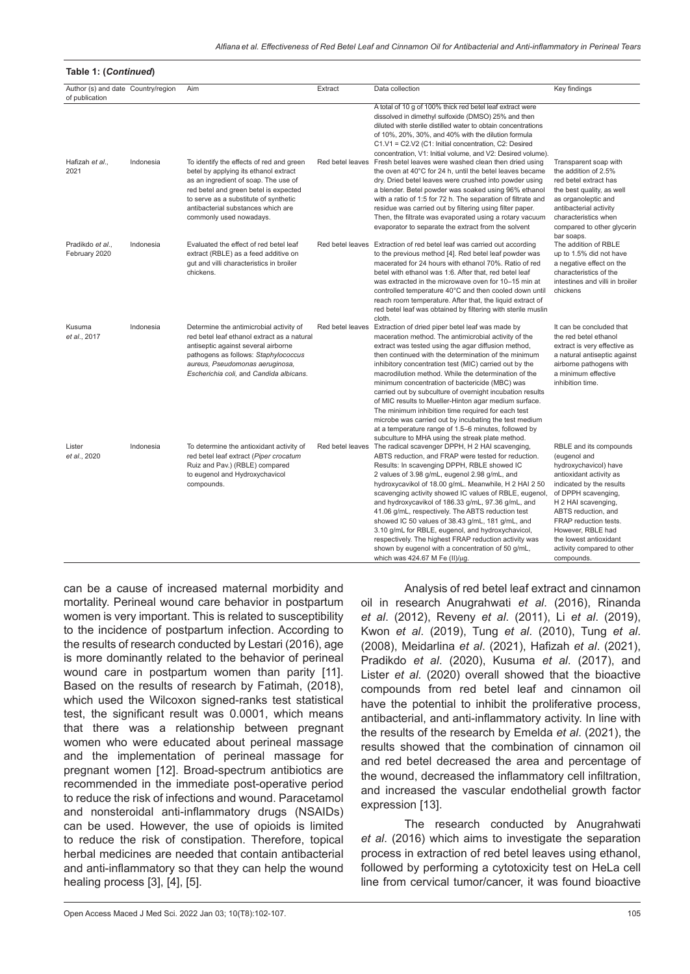| Author (s) and date Country/region |           | Aim                                                                                                                                                                                                                                                                          | Extract          | Data collection                                                                                                                                                                                                                                                                                                                                                                                                                                                                                                                                                                                                                                                                                                                              | Key findings                                                                                                                                                                                                                                                                                                    |
|------------------------------------|-----------|------------------------------------------------------------------------------------------------------------------------------------------------------------------------------------------------------------------------------------------------------------------------------|------------------|----------------------------------------------------------------------------------------------------------------------------------------------------------------------------------------------------------------------------------------------------------------------------------------------------------------------------------------------------------------------------------------------------------------------------------------------------------------------------------------------------------------------------------------------------------------------------------------------------------------------------------------------------------------------------------------------------------------------------------------------|-----------------------------------------------------------------------------------------------------------------------------------------------------------------------------------------------------------------------------------------------------------------------------------------------------------------|
| of publication                     |           |                                                                                                                                                                                                                                                                              |                  | A total of 10 g of 100% thick red betel leaf extract were<br>dissolved in dimethyl sulfoxide (DMSO) 25% and then<br>diluted with sterile distilled water to obtain concentrations<br>of 10%, 20%, 30%, and 40% with the dilution formula<br>C1.V1 = C2.V2 (C1: Initial concentration, C2: Desired<br>concentration, V1: Initial volume, and V2: Desired volume).                                                                                                                                                                                                                                                                                                                                                                             |                                                                                                                                                                                                                                                                                                                 |
| Hafizah et al.,<br>2021            | Indonesia | To identify the effects of red and green<br>betel by applying its ethanol extract<br>as an ingredient of soap. The use of<br>red betel and green betel is expected<br>to serve as a substitute of synthetic<br>antibacterial substances which are<br>commonly used nowadays. |                  | Red betel leaves Fresh betel leaves were washed clean then dried using<br>the oven at 40°C for 24 h, until the betel leaves became<br>dry. Dried betel leaves were crushed into powder using<br>a blender. Betel powder was soaked using 96% ethanol<br>with a ratio of 1:5 for 72 h. The separation of filtrate and<br>residue was carried out by filtering using filter paper.<br>Then, the filtrate was evaporated using a rotary vacuum<br>evaporator to separate the extract from the solvent                                                                                                                                                                                                                                           | Transparent soap with<br>the addition of 2.5%<br>red betel extract has<br>the best quality, as well<br>as organoleptic and<br>antibacterial activity<br>characteristics when<br>compared to other glycerin<br>bar soaps.                                                                                        |
| Pradikdo et al.,<br>February 2020  | Indonesia | Evaluated the effect of red betel leaf<br>extract (RBLE) as a feed additive on<br>gut and villi characteristics in broiler<br>chickens.                                                                                                                                      | Red betel leaves | Extraction of red betel leaf was carried out according<br>to the previous method [4]. Red betel leaf powder was<br>macerated for 24 hours with ethanol 70%. Ratio of red<br>betel with ethanol was 1:6. After that, red betel leaf<br>was extracted in the microwave oven for 10-15 min at<br>controlled temperature 40°C and then cooled down until<br>reach room temperature. After that, the liquid extract of<br>red betel leaf was obtained by filtering with sterile muslin<br>cloth.                                                                                                                                                                                                                                                  | The addition of RBLE<br>up to 1.5% did not have<br>a negative effect on the<br>characteristics of the<br>intestines and villi in broiler<br>chickens                                                                                                                                                            |
| Kusuma<br>et al., 2017             | Indonesia | Determine the antimicrobial activity of<br>red betel leaf ethanol extract as a natural<br>antiseptic against several airborne<br>pathogens as follows: Staphylococcus<br>aureus, Pseudomonas aeruginosa,<br>Escherichia coli, and Candida albicans.                          | Red betel leaves | Extraction of dried piper betel leaf was made by<br>maceration method. The antimicrobial activity of the<br>extract was tested using the agar diffusion method,<br>then continued with the determination of the minimum<br>inhibitory concentration test (MIC) carried out by the<br>macrodilution method. While the determination of the<br>minimum concentration of bactericide (MBC) was<br>carried out by subculture of overnight incubation results<br>of MIC results to Mueller-Hinton agar medium surface.<br>The minimum inhibition time required for each test<br>microbe was carried out by incubating the test medium<br>at a temperature range of 1.5-6 minutes, followed by<br>subculture to MHA using the streak plate method. | It can be concluded that<br>the red betel ethanol<br>extract is very effective as<br>a natural antiseptic against<br>airborne pathogens with<br>a minimum effective<br>inhibition time.                                                                                                                         |
| Lister<br>et al., 2020             | Indonesia | To determine the antioxidant activity of<br>red betel leaf extract (Piper crocatum<br>Ruiz and Pav.) (RBLE) compared<br>to eugenol and Hydroxychavicol<br>compounds.                                                                                                         | Red betel leaves | The radical scavenger DPPH, H 2 HAI scavenging,<br>ABTS reduction, and FRAP were tested for reduction.<br>Results: In scavenging DPPH, RBLE showed IC<br>2 values of 3.98 g/mL, eugenol 2.98 g/mL, and<br>hydroxycavikol of 18.00 g/mL. Meanwhile, H 2 HAI 2 50<br>scavenging activity showed IC values of RBLE, eugenol,<br>and hydroxycavikol of 186.33 g/mL, 97.36 g/mL, and<br>41.06 g/mL, respectively. The ABTS reduction test<br>showed IC 50 values of 38.43 g/mL, 181 g/mL, and<br>3.10 g/mL for RBLE, eugenol, and hydroxychavicol,<br>respectively. The highest FRAP reduction activity was<br>shown by eugenol with a concentration of 50 g/mL,<br>which was 424.67 M Fe (II)/µg.                                                | RBLE and its compounds<br>(eugenol and<br>hydroxychavicol) have<br>antioxidant activity as<br>indicated by the results<br>of DPPH scavenging,<br>H 2 HAI scavenging,<br>ABTS reduction, and<br>FRAP reduction tests.<br>However, RBLE had<br>the lowest antioxidant<br>activity compared to other<br>compounds. |

can be a cause of increased maternal morbidity and mortality. Perineal wound care behavior in postpartum women is very important. This is related to susceptibility to the incidence of postpartum infection. According to the results of research conducted by Lestari (2016), age is more dominantly related to the behavior of perineal wound care in postpartum women than parity [11]. Based on the results of research by Fatimah, (2018), which used the Wilcoxon signed-ranks test statistical test, the significant result was 0.0001, which means that there was a relationship between pregnant women who were educated about perineal massage and the implementation of perineal massage for pregnant women [12]. Broad-spectrum antibiotics are recommended in the immediate post-operative period to reduce the risk of infections and wound. Paracetamol and nonsteroidal anti-inflammatory drugs (NSAIDs) can be used. However, the use of opioids is limited to reduce the risk of constipation. Therefore, topical herbal medicines are needed that contain antibacterial and anti-inflammatory so that they can help the wound healing process [3], [4], [5].

**Table 1: (***Continued***)**

Analysis of red betel leaf extract and cinnamon oil in research Anugrahwati *et al*. (2016), Rinanda *et al*. (2012), Reveny *et al*. (2011), Li *et al*. (2019), Kwon *et al*. (2019), Tung *et al*. (2010), Tung *et al*. (2008), Meidarlina *et al*. (2021), Hafizah *et al*. (2021), Pradikdo *et al*. (2020), Kusuma *et al*. (2017), and Lister *et al*. (2020) overall showed that the bioactive compounds from red betel leaf and cinnamon oil have the potential to inhibit the proliferative process, antibacterial, and anti-inflammatory activity. In line with the results of the research by Emelda *et al*. (2021), the results showed that the combination of cinnamon oil and red betel decreased the area and percentage of the wound, decreased the inflammatory cell infiltration, and increased the vascular endothelial growth factor expression [13].

The research conducted by Anugrahwati *et al*. (2016) which aims to investigate the separation process in extraction of red betel leaves using ethanol, followed by performing a cytotoxicity test on HeLa cell line from cervical tumor/cancer, it was found bioactive

Open Access Maced J Med Sci. 2022 Jan 03; 10(T8):102-107. 105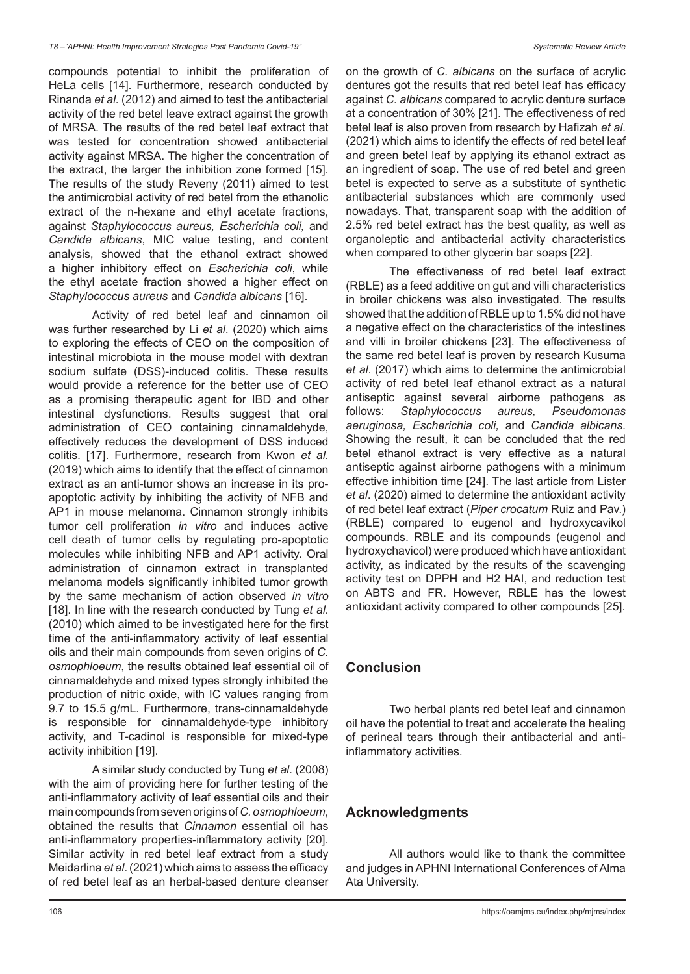compounds potential to inhibit the proliferation of HeLa cells [14]. Furthermore, research conducted by Rinanda *et al.* (2012) and aimed to test the antibacterial activity of the red betel leave extract against the growth of MRSA. The results of the red betel leaf extract that was tested for concentration showed antibacterial activity against MRSA. The higher the concentration of the extract, the larger the inhibition zone formed [15]. The results of the study Reveny (2011) aimed to test the antimicrobial activity of red betel from the ethanolic extract of the n-hexane and ethyl acetate fractions, against *Staphylococcus aureus, Escherichia coli,* and *Candida albicans*, MIC value testing, and content analysis, showed that the ethanol extract showed a higher inhibitory effect on *Escherichia coli*, while the ethyl acetate fraction showed a higher effect on *Staphylococcus aureus* and *Candida albicans* [16].

Activity of red betel leaf and cinnamon oil was further researched by Li *et al*. (2020) which aims to exploring the effects of CEO on the composition of intestinal microbiota in the mouse model with dextran sodium sulfate (DSS)-induced colitis. These results would provide a reference for the better use of CEO as a promising therapeutic agent for IBD and other intestinal dysfunctions. Results suggest that oral administration of CEO containing cinnamaldehyde, effectively reduces the development of DSS induced colitis. [17]. Furthermore, research from Kwon *et al*. (2019) which aims to identify that the effect of cinnamon extract as an anti-tumor shows an increase in its proapoptotic activity by inhibiting the activity of NFB and AP1 in mouse melanoma. Cinnamon strongly inhibits tumor cell proliferation *in vitro* and induces active cell death of tumor cells by regulating pro-apoptotic molecules while inhibiting NFB and AP1 activity. Oral administration of cinnamon extract in transplanted melanoma models significantly inhibited tumor growth by the same mechanism of action observed *in vitro* [18]. In line with the research conducted by Tung *et al*. (2010) which aimed to be investigated here for the first time of the anti-inflammatory activity of leaf essential oils and their main compounds from seven origins of *C. osmophloeum*, the results obtained leaf essential oil of cinnamaldehyde and mixed types strongly inhibited the production of nitric oxide, with IC values ranging from 9.7 to 15.5 g/mL. Furthermore, trans-cinnamaldehyde is responsible for cinnamaldehyde-type inhibitory activity, and T-cadinol is responsible for mixed-type activity inhibition [19].

A similar study conducted by Tung *et al*. (2008) with the aim of providing here for further testing of the anti-inflammatory activity of leaf essential oils and their main compounds from seven origins of *C. osmophloeum*, obtained the results that *Cinnamon* essential oil has anti-inflammatory properties-inflammatory activity [20]. Similar activity in red betel leaf extract from a study Meidarlina *et al*. (2021) which aims to assess the efficacy of red betel leaf as an herbal-based denture cleanser on the growth of *C. albicans* on the surface of acrylic dentures got the results that red betel leaf has efficacy against *C. albicans* compared to acrylic denture surface at a concentration of 30% [21]. The effectiveness of red betel leaf is also proven from research by Hafizah *et al*. (2021) which aims to identify the effects of red betel leaf and green betel leaf by applying its ethanol extract as an ingredient of soap. The use of red betel and green betel is expected to serve as a substitute of synthetic antibacterial substances which are commonly used nowadays. That, transparent soap with the addition of 2.5% red betel extract has the best quality, as well as organoleptic and antibacterial activity characteristics when compared to other glycerin bar soaps [22].

The effectiveness of red betel leaf extract (RBLE) as a feed additive on gut and villi characteristics in broiler chickens was also investigated. The results showed that the addition of RBLE up to 1.5% did not have a negative effect on the characteristics of the intestines and villi in broiler chickens [23]. The effectiveness of the same red betel leaf is proven by research Kusuma *et al*. (2017) which aims to determine the antimicrobial activity of red betel leaf ethanol extract as a natural antiseptic against several airborne pathogens as follows: *Staphylococcus aureus, Pseudomonas aeruginosa, Escherichia coli,* and *Candida albicans*. Showing the result, it can be concluded that the red betel ethanol extract is very effective as a natural antiseptic against airborne pathogens with a minimum effective inhibition time [24]. The last article from Lister *et al*. (2020) aimed to determine the antioxidant activity of red betel leaf extract (*Piper crocatum* Ruiz and Pav.) (RBLE) compared to eugenol and hydroxycavikol compounds. RBLE and its compounds (eugenol and hydroxychavicol) were produced which have antioxidant activity, as indicated by the results of the scavenging activity test on DPPH and H2 HAI, and reduction test on ABTS and FR. However, RBLE has the lowest antioxidant activity compared to other compounds [25].

## **Conclusion**

Two herbal plants red betel leaf and cinnamon oil have the potential to treat and accelerate the healing of perineal tears through their antibacterial and antiinflammatory activities.

## **Acknowledgments**

All authors would like to thank the committee and judges in APHNI International Conferences of Alma Ata University.